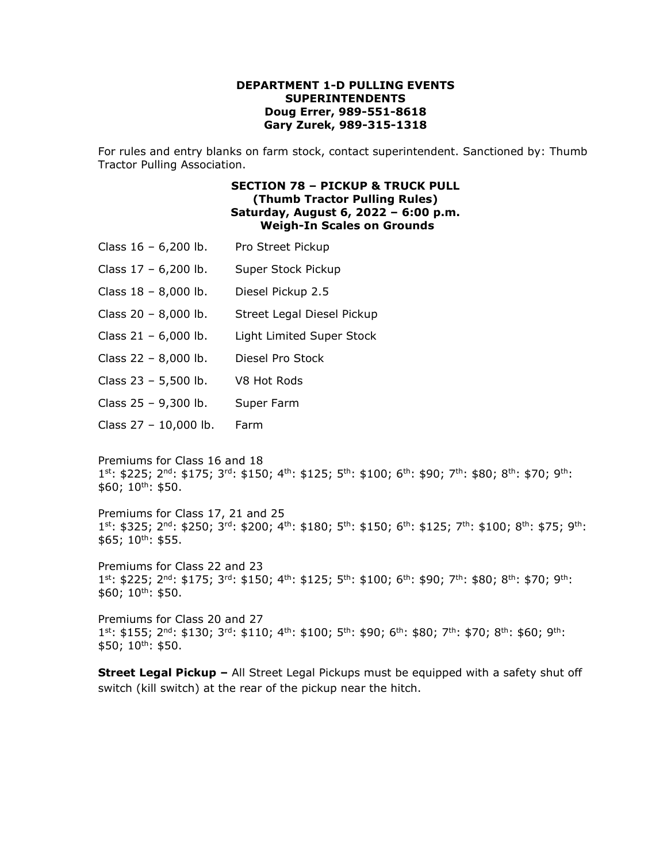#### **DEPARTMENT 1-D PULLING EVENTS SUPERINTENDENTS Doug Errer, 989-551-8618 Gary Zurek, 989-315-1318**

For rules and entry blanks on farm stock, contact superintendent. Sanctioned by: Thumb Tractor Pulling Association.

### **SECTION 78 – PICKUP & TRUCK PULL (Thumb Tractor Pulling Rules) Saturday, August 6, 2022 – 6:00 p.m. Weigh-In Scales on Grounds**

- Class 16 6,200 lb. Pro Street Pickup
- Class 17 6,200 lb. Super Stock Pickup
- Class 18 8,000 lb. Diesel Pickup 2.5
- Class 20 8,000 lb. Street Legal Diesel Pickup
- Class 21 6,000 lb. Light Limited Super Stock
- Class 22 8,000 lb. Diesel Pro Stock
- Class 23 5,500 lb. V8 Hot Rods
- Class 25 9,300 lb. Super Farm
- Class 27 10,000 lb. Farm

Premiums for Class 16 and 18  $1^{st}$ : \$225;  $2^{nd}$ : \$175;  $3^{rd}$ : \$150;  $4^{th}$ : \$125;  $5^{th}$ : \$100;  $6^{th}$ : \$90;  $7^{th}$ : \$80;  $8^{th}$ : \$70;  $9^{th}$ :  $$60; 10^{th}: $50.$ 

Premiums for Class 17, 21 and 25  $1^{st}$ : \$325; 2<sup>nd</sup>: \$250; 3<sup>rd</sup>: \$200; 4<sup>th</sup>: \$180; 5<sup>th</sup>: \$150; 6<sup>th</sup>: \$125; 7<sup>th</sup>: \$100; 8<sup>th</sup>: \$75; 9<sup>th</sup>:  $$65; 10^{th}: $55.$ 

Premiums for Class 22 and 23  $1^{st}$ : \$225; 2<sup>nd</sup>: \$175; 3<sup>rd</sup>: \$150; 4<sup>th</sup>: \$125; 5<sup>th</sup>: \$100; 6<sup>th</sup>: \$90; 7<sup>th</sup>: \$80; 8<sup>th</sup>: \$70; 9<sup>th</sup>:  $$60; 10^{th}: $50.$ 

Premiums for Class 20 and 27  $1^{st}$ : \$155;  $2^{nd}$ : \$130;  $3^{rd}$ : \$110;  $4^{th}$ : \$100;  $5^{th}$ : \$90;  $6^{th}$ : \$80;  $7^{th}$ : \$70;  $8^{th}$ : \$60;  $9^{th}$ :  $$50; 10^{th}: $50.$ 

**Street Legal Pickup –** All Street Legal Pickups must be equipped with a safety shut off switch (kill switch) at the rear of the pickup near the hitch.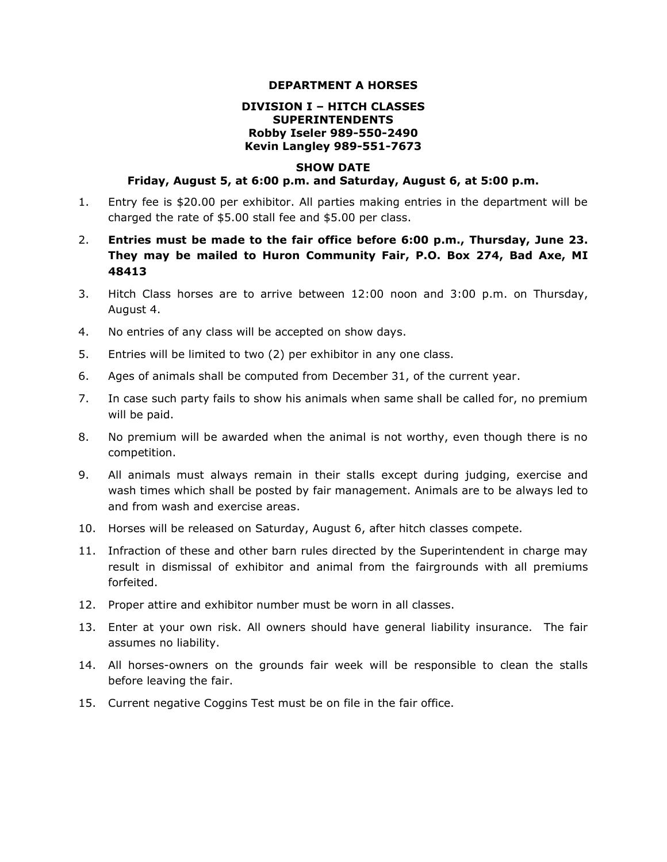#### **DEPARTMENT A HORSES**

### **DIVISION I – HITCH CLASSES SUPERINTENDENTS Robby Iseler 989-550-2490 Kevin Langley 989-551-7673**

#### **SHOW DATE**

#### **Friday, August 5, at 6:00 p.m. and Saturday, August 6, at 5:00 p.m.**

- 1. Entry fee is \$20.00 per exhibitor. All parties making entries in the department will be charged the rate of \$5.00 stall fee and \$5.00 per class.
- 2. **Entries must be made to the fair office before 6:00 p.m., Thursday, June 23. They may be mailed to Huron Community Fair, P.O. Box 274, Bad Axe, MI 48413**
- 3. Hitch Class horses are to arrive between 12:00 noon and 3:00 p.m. on Thursday, August 4.
- 4. No entries of any class will be accepted on show days.
- 5. Entries will be limited to two (2) per exhibitor in any one class.
- 6. Ages of animals shall be computed from December 31, of the current year.
- 7. In case such party fails to show his animals when same shall be called for, no premium will be paid.
- 8. No premium will be awarded when the animal is not worthy, even though there is no competition.
- 9. All animals must always remain in their stalls except during judging, exercise and wash times which shall be posted by fair management. Animals are to be always led to and from wash and exercise areas.
- 10. Horses will be released on Saturday, August 6, after hitch classes compete.
- 11. Infraction of these and other barn rules directed by the Superintendent in charge may result in dismissal of exhibitor and animal from the fairgrounds with all premiums forfeited.
- 12. Proper attire and exhibitor number must be worn in all classes.
- 13. Enter at your own risk. All owners should have general liability insurance. The fair assumes no liability.
- 14. All horses-owners on the grounds fair week will be responsible to clean the stalls before leaving the fair.
- 15. Current negative Coggins Test must be on file in the fair office.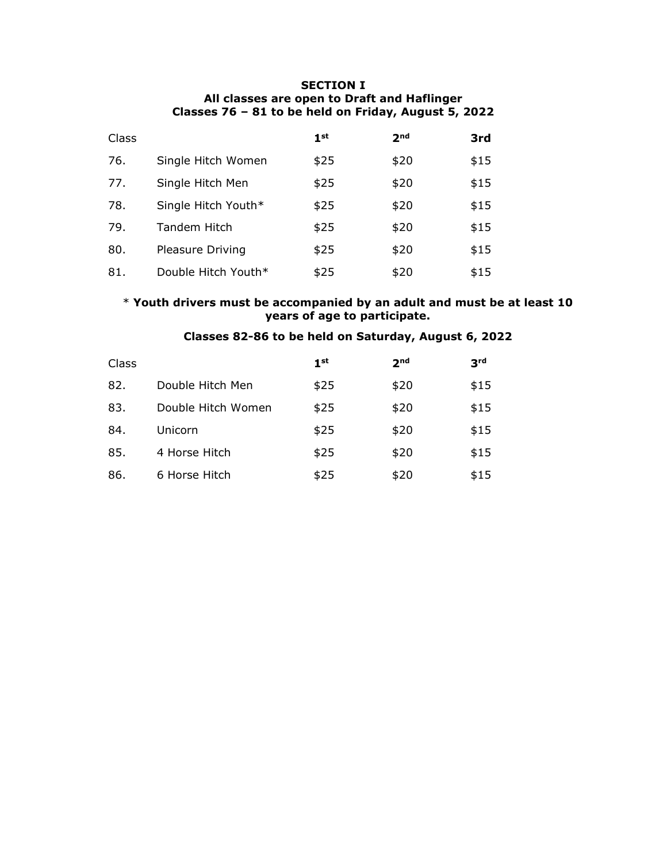### **SECTION I All classes are open to Draft and Haflinger Classes 76 – 81 to be held on Friday, August 5, 2022**

| Class |                     | 1 <sub>st</sub> | 2 <sub>nd</sub> | 3rd  |
|-------|---------------------|-----------------|-----------------|------|
| 76.   | Single Hitch Women  | \$25            | \$20            | \$15 |
| 77.   | Single Hitch Men    | \$25            | \$20            | \$15 |
| 78.   | Single Hitch Youth* | \$25            | \$20            | \$15 |
| 79.   | <b>Tandem Hitch</b> | \$25            | \$20            | \$15 |
| 80.   | Pleasure Driving    | \$25            | \$20            | \$15 |
| 81.   | Double Hitch Youth* | \$25            | \$20            | \$15 |

### \* **Youth drivers must be accompanied by an adult and must be at least 10 years of age to participate.**

## **Classes 82-86 to be held on Saturday, August 6, 2022**

| Class |                    | 1 <sub>st</sub> | 2 <sub>nd</sub> | 3 <sup>rd</sup> |
|-------|--------------------|-----------------|-----------------|-----------------|
| 82.   | Double Hitch Men   | \$25            | \$20            | \$15            |
| 83.   | Double Hitch Women | \$25            | \$20            | \$15            |
| 84.   | Unicorn            | \$25            | \$20            | \$15            |
| 85.   | 4 Horse Hitch      | \$25            | \$20            | \$15            |
| 86.   | 6 Horse Hitch      | \$25            | \$20            | \$15            |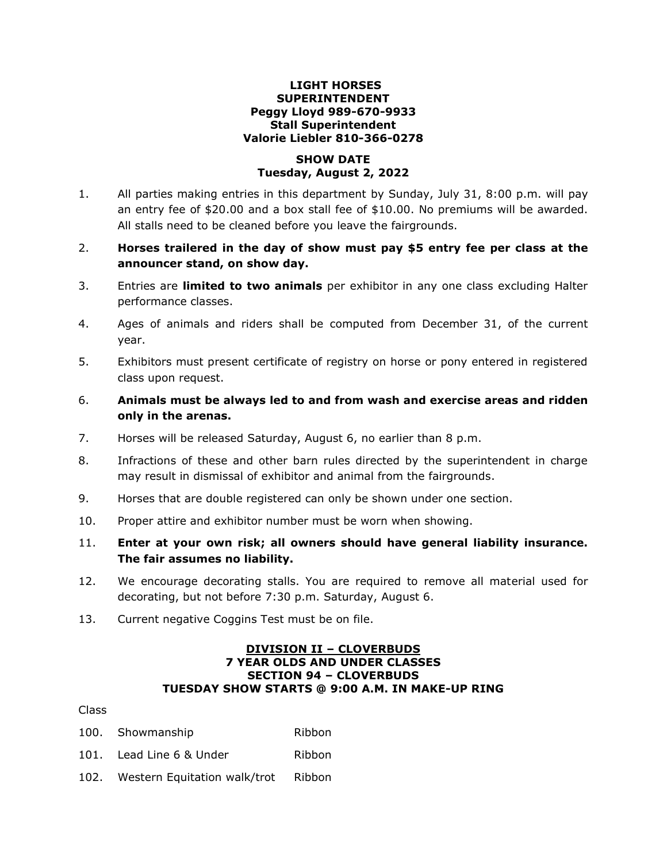### **LIGHT HORSES SUPERINTENDENT Peggy Lloyd 989-670-9933 Stall Superintendent Valorie Liebler 810-366-0278**

### **SHOW DATE Tuesday, August 2, 2022**

- 1. All parties making entries in this department by Sunday, July 31, 8:00 p.m. will pay an entry fee of \$20.00 and a box stall fee of \$10.00. No premiums will be awarded. All stalls need to be cleaned before you leave the fairgrounds.
- 2. **Horses trailered in the day of show must pay \$5 entry fee per class at the announcer stand, on show day.**
- 3. Entries are **limited to two animals** per exhibitor in any one class excluding Halter performance classes.
- 4. Ages of animals and riders shall be computed from December 31, of the current year.
- 5. Exhibitors must present certificate of registry on horse or pony entered in registered class upon request.
- 6. **Animals must be always led to and from wash and exercise areas and ridden only in the arenas.**
- 7. Horses will be released Saturday, August 6, no earlier than 8 p.m.
- 8. Infractions of these and other barn rules directed by the superintendent in charge may result in dismissal of exhibitor and animal from the fairgrounds.
- 9. Horses that are double registered can only be shown under one section.
- 10. Proper attire and exhibitor number must be worn when showing.
- 11. **Enter at your own risk; all owners should have general liability insurance. The fair assumes no liability.**
- 12. We encourage decorating stalls. You are required to remove all material used for decorating, but not before 7:30 p.m. Saturday, August 6.
- 13. Current negative Coggins Test must be on file.

### **DIVISION II – CLOVERBUDS 7 YEAR OLDS AND UNDER CLASSES SECTION 94 – CLOVERBUDS TUESDAY SHOW STARTS @ 9:00 A.M. IN MAKE-UP RING**

### Class

- 100. Showmanship Ribbon
- 101. Lead Line 6 & Under Ribbon
- 102. Western Equitation walk/trot Ribbon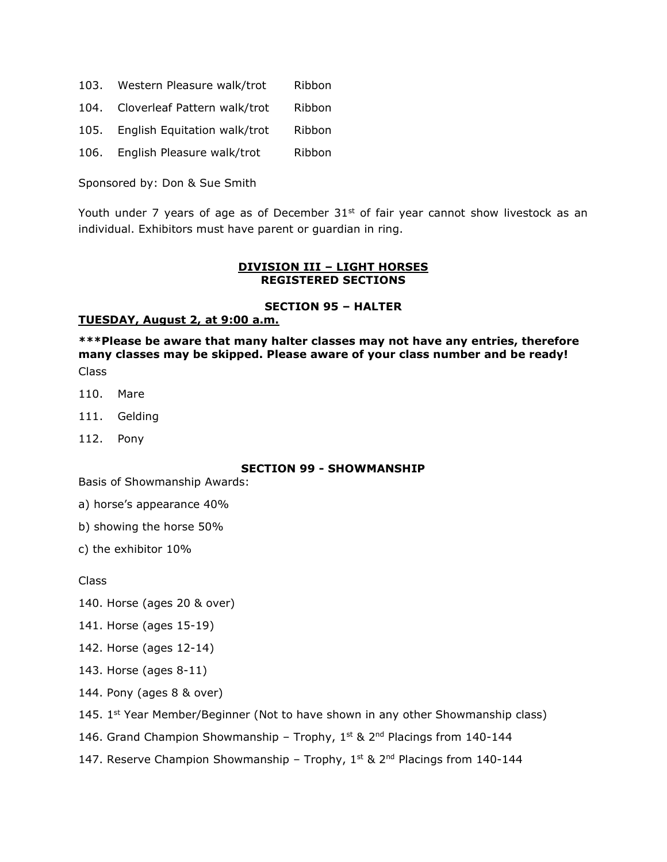- 103. Western Pleasure walk/trot Ribbon
- 104. Cloverleaf Pattern walk/trot Ribbon
- 105. English Equitation walk/trot Ribbon
- 106. English Pleasure walk/trot Ribbon

Sponsored by: Don & Sue Smith

Youth under 7 years of age as of December  $31^{st}$  of fair year cannot show livestock as an individual. Exhibitors must have parent or guardian in ring.

#### **DIVISION III – LIGHT HORSES REGISTERED SECTIONS**

#### **SECTION 95 – HALTER**

#### **TUESDAY, August 2, at 9:00 a.m.**

**\*\*\*Please be aware that many halter classes may not have any entries, therefore many classes may be skipped. Please aware of your class number and be ready!** Class

- 110. Mare
- 111. Gelding
- 112. Pony

### **SECTION 99 - SHOWMANSHIP**

Basis of Showmanship Awards:

- a) horse's appearance 40%
- b) showing the horse 50%
- c) the exhibitor 10%

Class

140. Horse (ages 20 & over)

- 141. Horse (ages 15-19)
- 142. Horse (ages 12-14)
- 143. Horse (ages 8-11)
- 144. Pony (ages 8 & over)
- 145.  $1<sup>st</sup> Year Member/Beginner (Not to have shown in any other Showmanship class)$
- 146. Grand Champion Showmanship Trophy,  $1^{st}$  & 2<sup>nd</sup> Placings from 140-144
- 147. Reserve Champion Showmanship Trophy,  $1^{st}$  &  $2^{nd}$  Placings from 140-144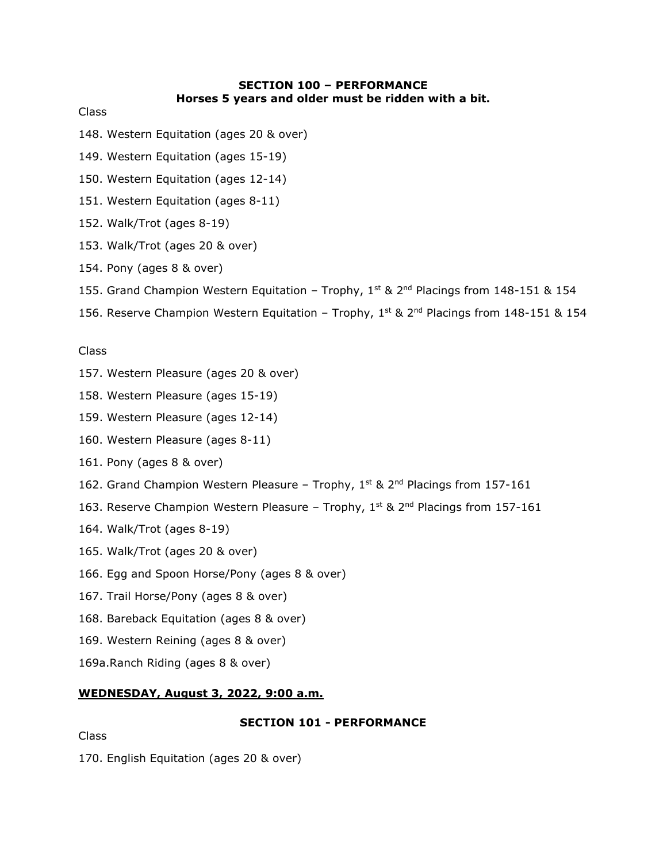### **SECTION 100 – PERFORMANCE Horses 5 years and older must be ridden with a bit.**

Class

- 148. Western Equitation (ages 20 & over)
- 149. Western Equitation (ages 15-19)
- 150. Western Equitation (ages 12-14)
- 151. Western Equitation (ages 8-11)
- 152. Walk/Trot (ages 8-19)
- 153. Walk/Trot (ages 20 & over)
- 154. Pony (ages 8 & over)
- 155. Grand Champion Western Equitation Trophy,  $1<sup>st</sup>$  &  $2<sup>nd</sup>$  Placings from 148-151 & 154
- 156. Reserve Champion Western Equitation Trophy,  $1<sup>st</sup>$  &  $2<sup>nd</sup>$  Placings from 148-151 & 154

### Class

- 157. Western Pleasure (ages 20 & over)
- 158. Western Pleasure (ages 15-19)
- 159. Western Pleasure (ages 12-14)
- 160. Western Pleasure (ages 8-11)
- 161. Pony (ages 8 & over)
- 162. Grand Champion Western Pleasure Trophy,  $1^{st}$  & 2<sup>nd</sup> Placings from 157-161
- 163. Reserve Champion Western Pleasure Trophy,  $1^{st}$  &  $2^{nd}$  Placings from 157-161
- 164. Walk/Trot (ages 8-19)
- 165. Walk/Trot (ages 20 & over)
- 166. Egg and Spoon Horse/Pony (ages 8 & over)
- 167. Trail Horse/Pony (ages 8 & over)
- 168. Bareback Equitation (ages 8 & over)
- 169. Western Reining (ages 8 & over)
- 169a.Ranch Riding (ages 8 & over)

### **WEDNESDAY, August 3, 2022, 9:00 a.m.**

### **SECTION 101 - PERFORMANCE**

Class

170. English Equitation (ages 20 & over)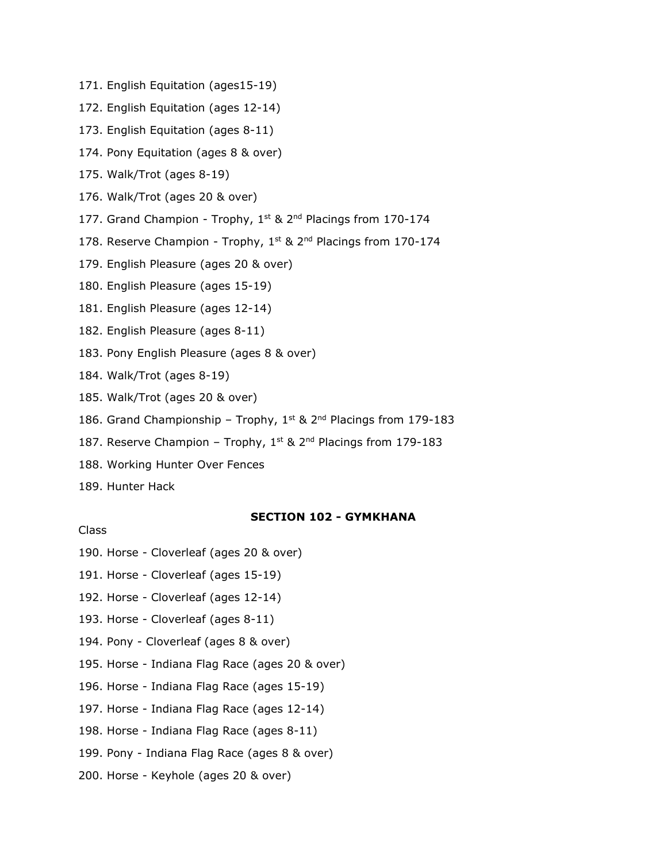- 171. English Equitation (ages15-19)
- 172. English Equitation (ages 12-14)
- 173. English Equitation (ages 8-11)
- 174. Pony Equitation (ages 8 & over)
- 175. Walk/Trot (ages 8-19)
- 176. Walk/Trot (ages 20 & over)
- 177. Grand Champion Trophy, 1<sup>st</sup> & 2<sup>nd</sup> Placings from 170-174
- 178. Reserve Champion Trophy,  $1^{st}$  &  $2^{nd}$  Placings from 170-174
- 179. English Pleasure (ages 20 & over)
- 180. English Pleasure (ages 15-19)
- 181. English Pleasure (ages 12-14)
- 182. English Pleasure (ages 8-11)
- 183. Pony English Pleasure (ages 8 & over)
- 184. Walk/Trot (ages 8-19)
- 185. Walk/Trot (ages 20 & over)
- 186. Grand Championship Trophy,  $1<sup>st</sup>$  &  $2<sup>nd</sup>$  Placings from 179-183
- 187. Reserve Champion Trophy,  $1^{st}$  &  $2^{nd}$  Placings from 179-183
- 188. Working Hunter Over Fences
- 189. Hunter Hack

Class

# **SECTION 102 - GYMKHANA**

- 190. Horse Cloverleaf (ages 20 & over)
- 191. Horse Cloverleaf (ages 15-19)
- 192. Horse Cloverleaf (ages 12-14)
- 193. Horse Cloverleaf (ages 8-11)
- 194. Pony Cloverleaf (ages 8 & over)
- 195. Horse Indiana Flag Race (ages 20 & over)
- 196. Horse Indiana Flag Race (ages 15-19)
- 197. Horse Indiana Flag Race (ages 12-14)
- 198. Horse Indiana Flag Race (ages 8-11)
- 199. Pony Indiana Flag Race (ages 8 & over)
- 200. Horse Keyhole (ages 20 & over)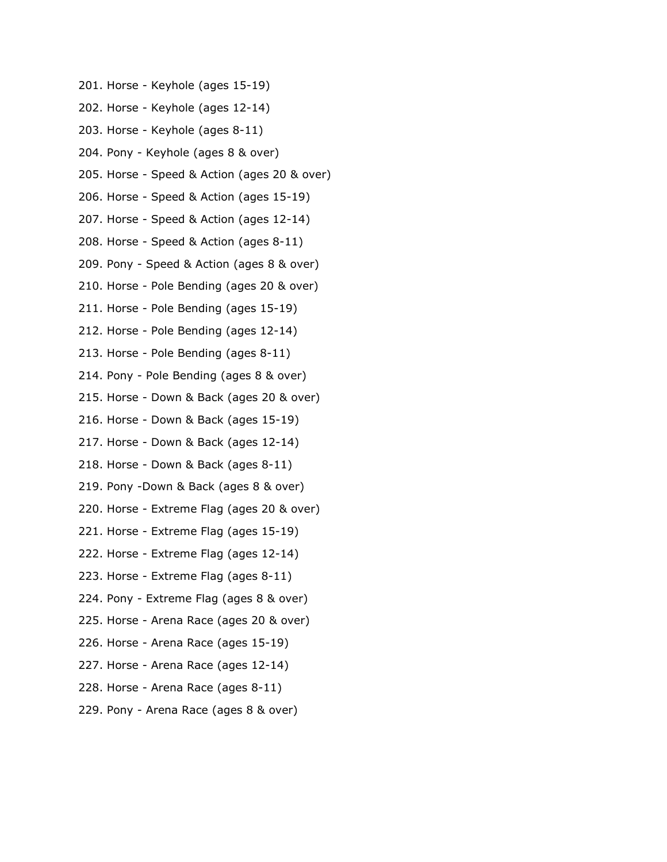- 201. Horse Keyhole (ages 15-19)
- 202. Horse Keyhole (ages 12-14)
- 203. Horse Keyhole (ages 8-11)
- 204. Pony Keyhole (ages 8 & over)
- 205. Horse Speed & Action (ages 20 & over)
- 206. Horse Speed & Action (ages 15-19)
- 207. Horse Speed & Action (ages 12-14)
- 208. Horse Speed & Action (ages 8-11)
- 209. Pony Speed & Action (ages 8 & over)
- 210. Horse Pole Bending (ages 20 & over)
- 211. Horse Pole Bending (ages 15-19)
- 212. Horse Pole Bending (ages 12-14)
- 213. Horse Pole Bending (ages 8-11)
- 214. Pony Pole Bending (ages 8 & over)
- 215. Horse Down & Back (ages 20 & over)
- 216. Horse Down & Back (ages 15-19)
- 217. Horse Down & Back (ages 12-14)
- 218. Horse Down & Back (ages 8-11)
- 219. Pony -Down & Back (ages 8 & over)
- 220. Horse Extreme Flag (ages 20 & over)
- 221. Horse Extreme Flag (ages 15-19)
- 222. Horse Extreme Flag (ages 12-14)
- 223. Horse Extreme Flag (ages 8-11)
- 224. Pony Extreme Flag (ages 8 & over)
- 225. Horse Arena Race (ages 20 & over)
- 226. Horse Arena Race (ages 15-19)
- 227. Horse Arena Race (ages 12-14)
- 228. Horse Arena Race (ages 8-11)
- 229. Pony Arena Race (ages 8 & over)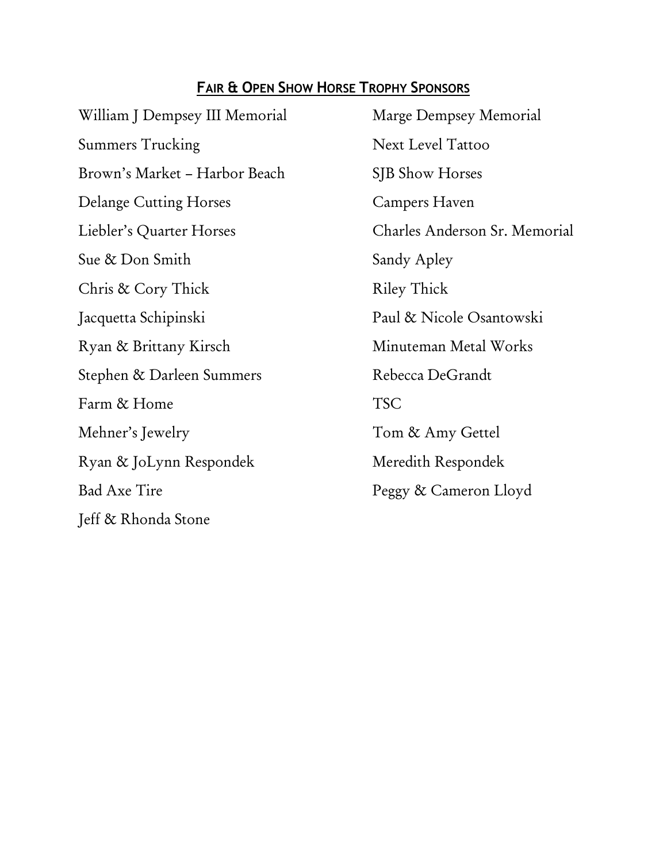# **FAIR & OPEN SHOW HORSE TROPHY SPONSORS**

William J Dempsey III Memorial Marge Dempsey Memorial Summers Trucking Next Level Tattoo Brown's Market – Harbor Beach SJB Show Horses Delange Cutting Horses Campers Haven Sue & Don Smith Sandy Apley Chris & Cory Thick Riley Thick Jacquetta Schipinski Paul & Nicole Osantowski Ryan & Brittany Kirsch Minuteman Metal Works Stephen & Darleen Summers Rebecca DeGrandt Farm & Home TSC Mehner's Jewelry Tom & Amy Gettel Ryan & JoLynn Respondek Meredith Respondek Bad Axe Tire Peggy & Cameron Lloyd Jeff & Rhonda Stone

Liebler's Quarter Horses Charles Anderson Sr. Memorial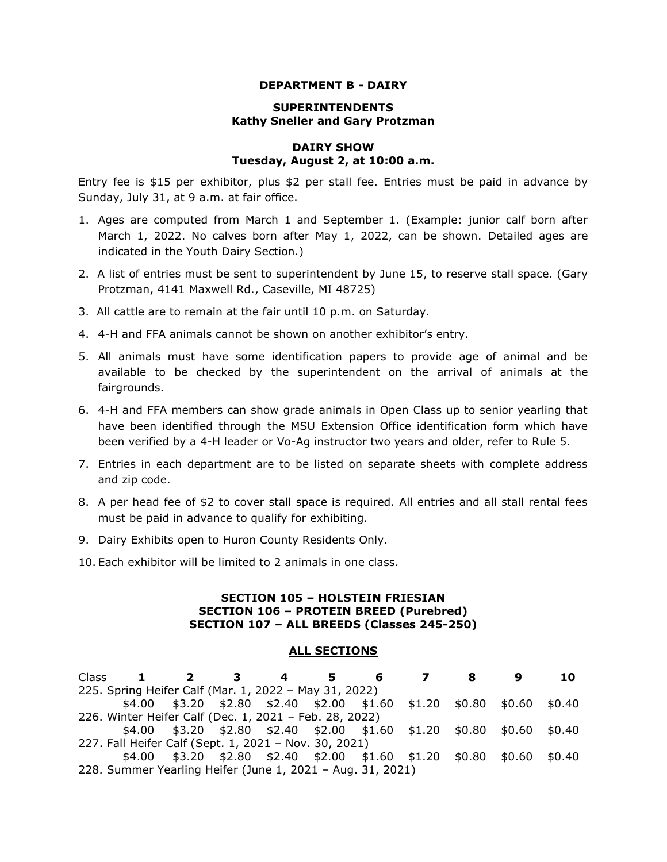#### **DEPARTMENT B - DAIRY**

### **SUPERINTENDENTS Kathy Sneller and Gary Protzman**

### **DAIRY SHOW Tuesday, August 2, at 10:00 a.m.**

Entry fee is \$15 per exhibitor, plus \$2 per stall fee. Entries must be paid in advance by Sunday, July 31, at 9 a.m. at fair office.

- 1. Ages are computed from March 1 and September 1. (Example: junior calf born after March 1, 2022. No calves born after May 1, 2022, can be shown. Detailed ages are indicated in the Youth Dairy Section.)
- 2. A list of entries must be sent to superintendent by June 15, to reserve stall space. (Gary Protzman, 4141 Maxwell Rd., Caseville, MI 48725)
- 3. All cattle are to remain at the fair until 10 p.m. on Saturday.
- 4. 4-H and FFA animals cannot be shown on another exhibitor's entry.
- 5. All animals must have some identification papers to provide age of animal and be available to be checked by the superintendent on the arrival of animals at the fairgrounds.
- 6. 4-H and FFA members can show grade animals in Open Class up to senior yearling that have been identified through the MSU Extension Office identification form which have been verified by a 4-H leader or Vo-Ag instructor two years and older, refer to Rule 5.
- 7. Entries in each department are to be listed on separate sheets with complete address and zip code.
- 8. A per head fee of \$2 to cover stall space is required. All entries and all stall rental fees must be paid in advance to qualify for exhibiting.
- 9. Dairy Exhibits open to Huron County Residents Only.
- 10. Each exhibitor will be limited to 2 animals in one class.

### **SECTION 105 – HOLSTEIN FRIESIAN SECTION 106 – PROTEIN BREED (Purebred) SECTION 107 – ALL BREEDS (Classes 245-250)**

#### **ALL SECTIONS**

| Class 1 2 3 4                                              |                                                                                 | 5. | 6 7 | -8 | 10 |
|------------------------------------------------------------|---------------------------------------------------------------------------------|----|-----|----|----|
| 225. Spring Heifer Calf (Mar. 1, 2022 - May 31, 2022)      |                                                                                 |    |     |    |    |
|                                                            | $$4.00$ $$3.20$ $$2.80$ $$2.40$ $$2.00$ $$1.60$ $$1.20$ $$0.80$ $$0.60$ $$0.40$ |    |     |    |    |
| 226. Winter Heifer Calf (Dec. 1, 2021 - Feb. 28, 2022)     |                                                                                 |    |     |    |    |
|                                                            | $$4.00$ $$3.20$ $$2.80$ $$2.40$ $$2.00$ $$1.60$ $$1.20$ $$0.80$ $$0.60$ $$0.40$ |    |     |    |    |
| 227. Fall Heifer Calf (Sept. 1, 2021 - Nov. 30, 2021)      |                                                                                 |    |     |    |    |
|                                                            | $$4.00$ $$3.20$ $$2.80$ $$2.40$ $$2.00$ $$1.60$ $$1.20$ $$0.80$ $$0.60$ $$0.40$ |    |     |    |    |
| 228. Summer Yearling Heifer (June 1, 2021 - Aug. 31, 2021) |                                                                                 |    |     |    |    |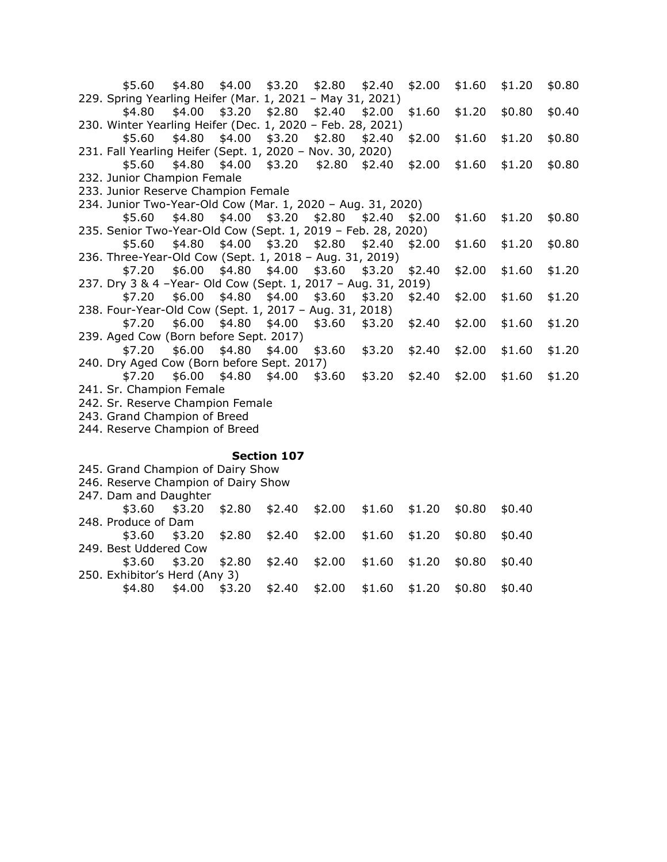\$5.60 \$4.80 \$4.00 \$3.20 \$2.80 \$2.40 \$2.00 \$1.60 \$1.20 \$0.80 229. Spring Yearling Heifer (Mar. 1, 2021 – May 31, 2021) \$4.80 \$4.00 \$3.20 \$2.80 \$2.40 \$2.00 \$1.60 \$1.20 \$0.80 \$0.40 230. Winter Yearling Heifer (Dec. 1, 2020 – Feb. 28, 2021) \$5.60 \$4.80 \$4.00 \$3.20 \$2.80 \$2.40 \$2.00 \$1.60 \$1.20 \$0.80 231. Fall Yearling Heifer (Sept. 1, 2020 – Nov. 30, 2020) \$5.60 \$4.80 \$4.00 \$3.20 \$2.80 \$2.40 \$2.00 \$1.60 \$1.20 \$0.80 232. Junior Champion Female 233. Junior Reserve Champion Female 234. Junior Two-Year-Old Cow (Mar. 1, 2020 – Aug. 31, 2020) \$5.60 \$4.80 \$4.00 \$3.20 \$2.80 \$2.40 \$2.00 \$1.60 \$1.20 \$0.80 235. Senior Two-Year-Old Cow (Sept. 1, 2019 – Feb. 28, 2020) \$5.60 \$4.80 \$4.00 \$3.20 \$2.80 \$2.40 \$2.00 \$1.60 \$1.20 \$0.80 236. Three-Year-Old Cow (Sept. 1, 2018 – Aug. 31, 2019) \$7.20 \$6.00 \$4.80 \$4.00 \$3.60 \$3.20 \$2.40 \$2.00 \$1.60 \$1.20 237. Dry 3 & 4 –Year- Old Cow (Sept. 1, 2017 – Aug. 31, 2019) \$7.20 \$6.00 \$4.80 \$4.00 \$3.60 \$3.20 \$2.40 \$2.00 \$1.60 \$1.20 238. Four-Year-Old Cow (Sept. 1, 2017 – Aug. 31, 2018) \$7.20 \$6.00 \$4.80 \$4.00 \$3.60 \$3.20 \$2.40 \$2.00 \$1.60 \$1.20 239. Aged Cow (Born before Sept. 2017) \$7.20 \$6.00 \$4.80 \$4.00 \$3.60 \$3.20 \$2.40 \$2.00 \$1.60 \$1.20 240. Dry Aged Cow (Born before Sept. 2017) \$7.20 \$6.00 \$4.80 \$4.00 \$3.60 \$3.20 \$2.40 \$2.00 \$1.60 \$1.20 241. Sr. Champion Female 242. Sr. Reserve Champion Female 243. Grand Champion of Breed 244. Reserve Champion of Breed

#### **Section 107**

245. Grand Champion of Dairy Show 246. Reserve Champion of Dairy Show 247. Dam and Daughter \$3.60 \$3.20 \$2.80 \$2.40 \$2.00 \$1.60 \$1.20 \$0.80 \$0.40 248. Produce of Dam \$3.60 \$3.20 \$2.80 \$2.40 \$2.00 \$1.60 \$1.20 \$0.80 \$0.40 249. Best Uddered Cow \$3.60 \$3.20 \$2.80 \$2.40 \$2.00 \$1.60 \$1.20 \$0.80 \$0.40 250. Exhibitor's Herd (Any 3) \$4.80 \$4.00 \$3.20 \$2.40 \$2.00 \$1.60 \$1.20 \$0.80 \$0.40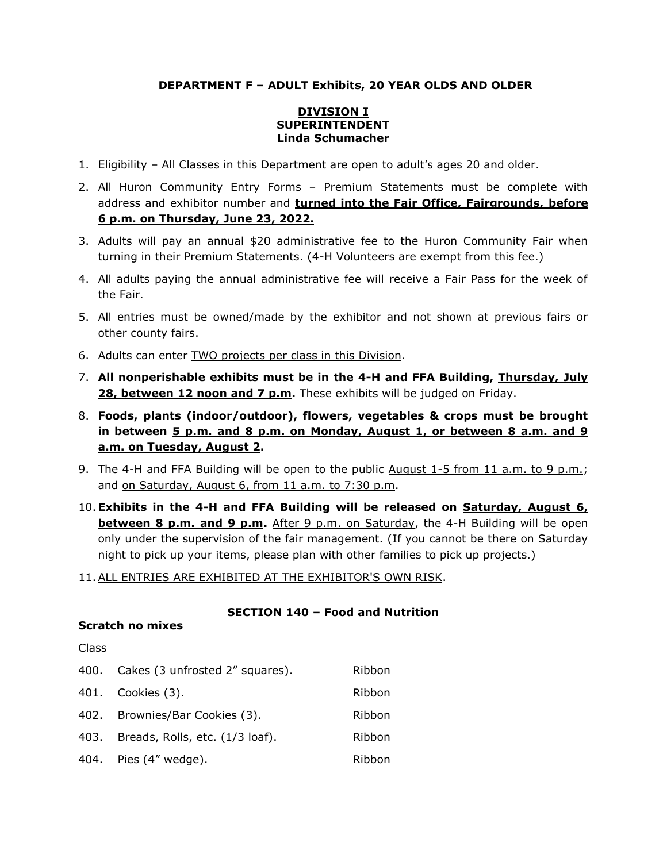## **DEPARTMENT F – ADULT Exhibits, 20 YEAR OLDS AND OLDER**

### **DIVISION I SUPERINTENDENT Linda Schumacher**

- 1. Eligibility All Classes in this Department are open to adult's ages 20 and older.
- 2. All Huron Community Entry Forms Premium Statements must be complete with address and exhibitor number and **turned into the Fair Office, Fairgrounds, before 6 p.m. on Thursday, June 23, 2022.**
- 3. Adults will pay an annual \$20 administrative fee to the Huron Community Fair when turning in their Premium Statements. (4-H Volunteers are exempt from this fee.)
- 4. All adults paying the annual administrative fee will receive a Fair Pass for the week of the Fair.
- 5. All entries must be owned/made by the exhibitor and not shown at previous fairs or other county fairs.
- 6. Adults can enter TWO projects per class in this Division.
- 7. **All nonperishable exhibits must be in the 4-H and FFA Building, Thursday, July 28, between 12 noon and 7 p.m.** These exhibits will be judged on Friday.
- 8. **Foods, plants (indoor/outdoor), flowers, vegetables & crops must be brought in between 5 p.m. and 8 p.m. on Monday, August 1, or between 8 a.m. and 9 a.m. on Tuesday, August 2.**
- 9. The 4-H and FFA Building will be open to the public August 1-5 from 11 a.m. to 9 p.m.; and on Saturday, August 6, from 11 a.m. to 7:30 p.m.
- 10.**Exhibits in the 4-H and FFA Building will be released on Saturday, August 6, between 8 p.m. and 9 p.m.** After 9 p.m. on Saturday, the 4-H Building will be open only under the supervision of the fair management. (If you cannot be there on Saturday night to pick up your items, please plan with other families to pick up projects.)
- 11.ALL ENTRIES ARE EXHIBITED AT THE EXHIBITOR'S OWN RISK.

### **SECTION 140 – Food and Nutrition**

### **Scratch no mixes**

#### Class

|      | 400. Cakes (3 unfrosted 2" squares). | Ribbon |
|------|--------------------------------------|--------|
|      | 401. Cookies (3).                    | Ribbon |
| 402. | Brownies/Bar Cookies (3).            | Ribbon |
| 403. | Breads, Rolls, etc. (1/3 loaf).      | Ribbon |
|      | 404. Pies (4" wedge).                | Ribbon |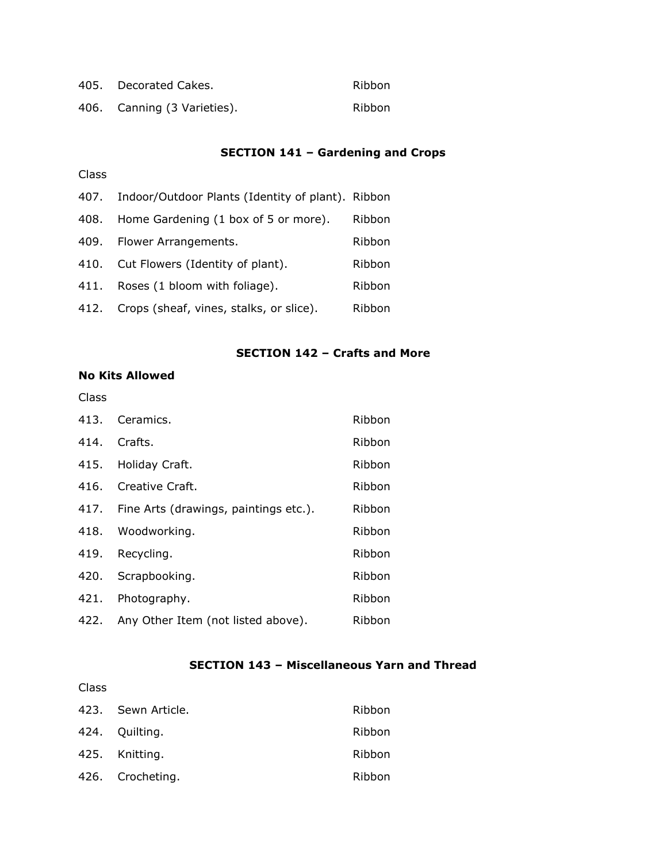| 405. Decorated Cakes.       | Ribbon |
|-----------------------------|--------|
| 406. Canning (3 Varieties). | Ribbon |

# **SECTION 141 – Gardening and Crops**

# Class

| 407. | Indoor/Outdoor Plants (Identity of plant). Ribbon |        |
|------|---------------------------------------------------|--------|
| 408. | Home Gardening (1 box of 5 or more).              | Ribbon |
| 409. | Flower Arrangements.                              | Ribbon |
|      | 410. Cut Flowers (Identity of plant).             | Ribbon |
| 411. | Roses (1 bloom with foliage).                     | Ribbon |
|      | 412. Crops (sheaf, vines, stalks, or slice).      | Ribbon |

### **SECTION 142 – Crafts and More**

# **No Kits Allowed**

### Class

| 413. | Ceramics.                             | Ribbon |
|------|---------------------------------------|--------|
| 414. | Crafts.                               | Ribbon |
| 415. | Holiday Craft.                        | Ribbon |
| 416. | Creative Craft.                       | Ribbon |
| 417. | Fine Arts (drawings, paintings etc.). | Ribbon |
| 418. | Woodworking.                          | Ribbon |
| 419. | Recycling.                            | Ribbon |
| 420. | Scrapbooking.                         | Ribbon |
| 421. | Photography.                          | Ribbon |
| 422. | Any Other Item (not listed above).    | Ribbon |

# **SECTION 143 – Miscellaneous Yarn and Thread**

# Class

| 423. Sewn Article. | Ribbon |
|--------------------|--------|
| 424. Quilting.     | Ribbon |
| 425. Knitting.     | Ribbon |
| 426. Crocheting.   | Ribbon |